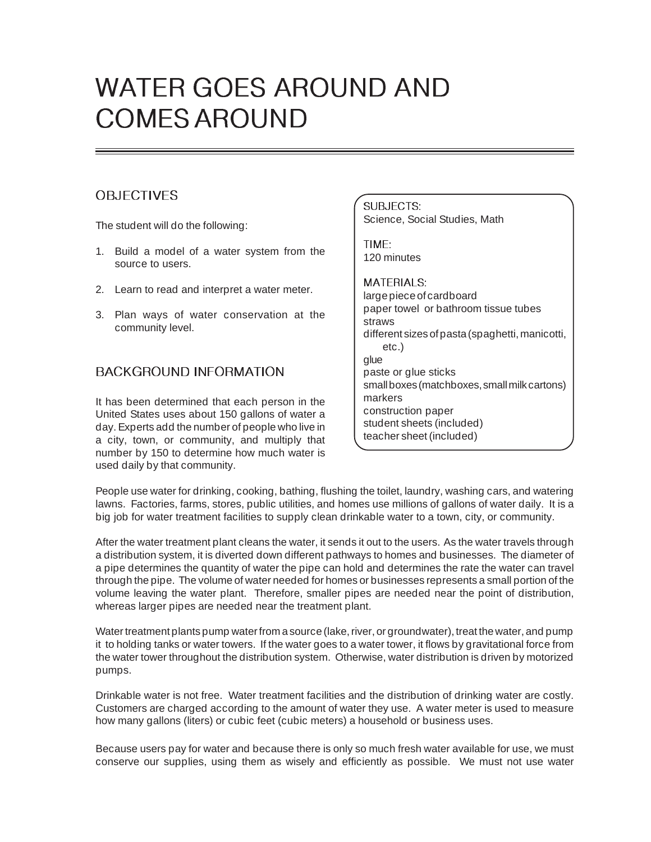# WATER GOES AROUND AND COMES AROUND

# **OBJECTIVES**

The student will do the following:

- 1. Build a model of a water system from the source to users.
- 2. Learn to read and interpret a water meter.
- 3. Plan ways of water conservation at the community level.

# BACKGROUND INFORMATION

It has been determined that each person in the United States uses about 150 gallons of water a day. Experts add the number of people who live in a city, town, or community, and multiply that number by 150 to determine how much water is used daily by that community.

SUBJECTS: Science, Social Studies, Math

TIME: 120 minutes

#### MATERIALS:

large piece of cardboard paper towel or bathroom tissue tubes straws different sizes of pasta (spaghetti, manicotti, etc.) glue paste or glue sticks small boxes (matchboxes, small milk cartons) markers construction paper student sheets (included) teacher sheet (included)

People use water for drinking, cooking, bathing, flushing the toilet, laundry, washing cars, and watering lawns. Factories, farms, stores, public utilities, and homes use millions of gallons of water daily. It is a big job for water treatment facilities to supply clean drinkable water to a town, city, or community.

After the water treatment plant cleans the water, it sends it out to the users. As the water travels through a distribution system, it is diverted down different pathways to homes and businesses. The diameter of a pipe determines the quantity of water the pipe can hold and determines the rate the water can travel through the pipe. The volume of water needed for homes or businesses represents a small portion of the volume leaving the water plant. Therefore, smaller pipes are needed near the point of distribution, whereas larger pipes are needed near the treatment plant.

Water treatment plants pump water from a source (lake, river, or groundwater), treat the water, and pump it to holding tanks or water towers. If the water goes to a water tower, it flows by gravitational force from the water tower throughout the distribution system. Otherwise, water distribution is driven by motorized pumps.

Drinkable water is not free. Water treatment facilities and the distribution of drinking water are costly. Customers are charged according to the amount of water they use. A water meter is used to measure how many gallons (liters) or cubic feet (cubic meters) a household or business uses.

Because users pay for water and because there is only so much fresh water available for use, we must conserve our supplies, using them as wisely and efficiently as possible. We must not use water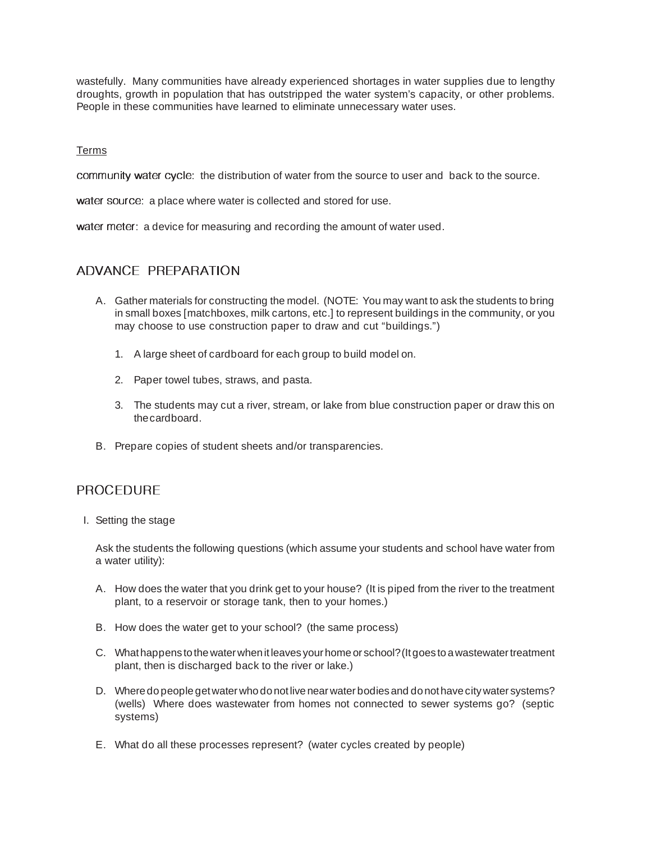wastefully. Many communities have already experienced shortages in water supplies due to lengthy droughts, growth in population that has outstripped the water system's capacity, or other problems. People in these communities have learned to eliminate unnecessary water uses.

#### Terms

community water cycle: the distribution of water from the source to user and back to the source.

water source: a place where water is collected and stored for use.

water meter: a device for measuring and recording the amount of water used.

# ADVANCE PREPARATION

- A. Gather materials for constructing the model. (NOTE: You may want to ask the students to bring in small boxes [matchboxes, milk cartons, etc.] to represent buildings in the community, or you may choose to use construction paper to draw and cut "buildings.")
	- 1. A large sheet of cardboard for each group to build model on.
	- 2. Paper towel tubes, straws, and pasta.
	- 3. The students may cut a river, stream, or lake from blue construction paper or draw this on the cardboard.
- B. Prepare copies of student sheets and/or transparencies.

## PROCEDURE

I. Setting the stage

Ask the students the following questions (which assume your students and school have water from a water utility):

- A. How does the water that you drink get to your house? (It is piped from the river to the treatment plant, to a reservoir or storage tank, then to your homes.)
- B. How does the water get to your school? (the same process)
- C. What happens to the water when it leaves your home or school? (It goes to a wastewater treatment plant, then is discharged back to the river or lake.)
- D. Where do people get water who do not live near water bodies and do not have city water systems? (wells) Where does wastewater from homes not connected to sewer systems go? (septic systems)
- E. What do all these processes represent? (water cycles created by people)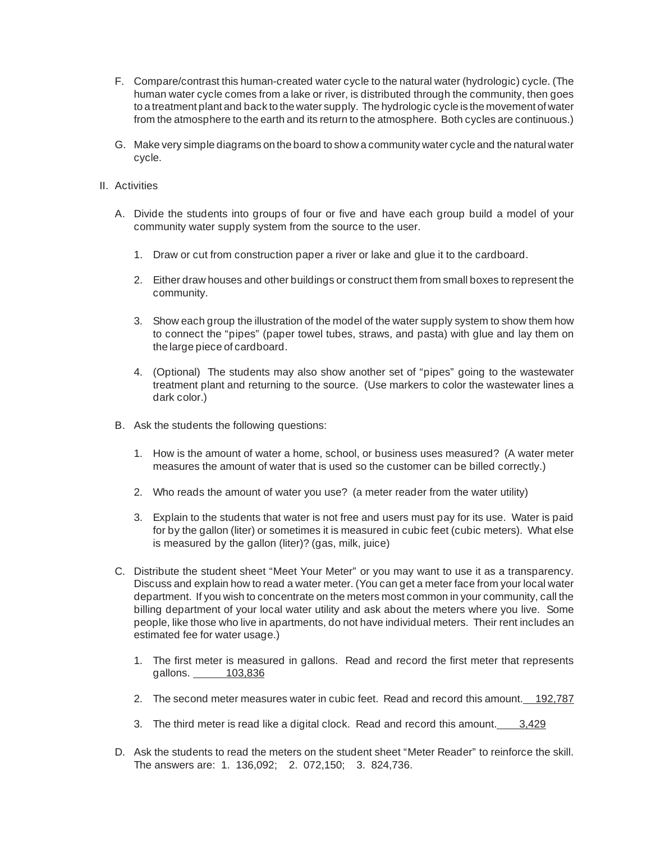- F. Compare/contrast this human-created water cycle to the natural water (hydrologic) cycle. (The human water cycle comes from a lake or river, is distributed through the community, then goes to a treatment plant and back to the water supply. The hydrologic cycle is the movement of water from the atmosphere to the earth and its return to the atmosphere. Both cycles are continuous.)
- G. Make very simple diagrams on the board to show a community water cycle and the natural water cycle.
- II. Activities
	- A. Divide the students into groups of four or five and have each group build a model of your community water supply system from the source to the user.
		- 1. Draw or cut from construction paper a river or lake and glue it to the cardboard.
		- 2. Either draw houses and other buildings or construct them from small boxes to represent the community.
		- 3. Show each group the illustration of the model of the water supply system to show them how to connect the "pipes" (paper towel tubes, straws, and pasta) with glue and lay them on the large piece of cardboard.
		- 4. (Optional) The students may also show another set of "pipes" going to the wastewater treatment plant and returning to the source. (Use markers to color the wastewater lines a dark color.)
	- B. Ask the students the following questions:
		- 1. How is the amount of water a home, school, or business uses measured? (A water meter measures the amount of water that is used so the customer can be billed correctly.)
		- 2. Who reads the amount of water you use? (a meter reader from the water utility)
		- 3. Explain to the students that water is not free and users must pay for its use. Water is paid for by the gallon (liter) or sometimes it is measured in cubic feet (cubic meters). What else is measured by the gallon (liter)? (gas, milk, juice)
	- C. Distribute the student sheet "Meet Your Meter" or you may want to use it as a transparency. Discuss and explain how to read a water meter. (You can get a meter face from your local water department. If you wish to concentrate on the meters most common in your community, call the billing department of your local water utility and ask about the meters where you live. Some people, like those who live in apartments, do not have individual meters. Their rent includes an estimated fee for water usage.)
		- 1. The first meter is measured in gallons. Read and record the first meter that represents gallons. 103,836
		- 2. The second meter measures water in cubic feet. Read and record this amount. 192,787
		- 3. The third meter is read like a digital clock. Read and record this amount. 3,429
	- D. Ask the students to read the meters on the student sheet "Meter Reader" to reinforce the skill. The answers are: 1. 136,092; 2. 072,150; 3. 824,736.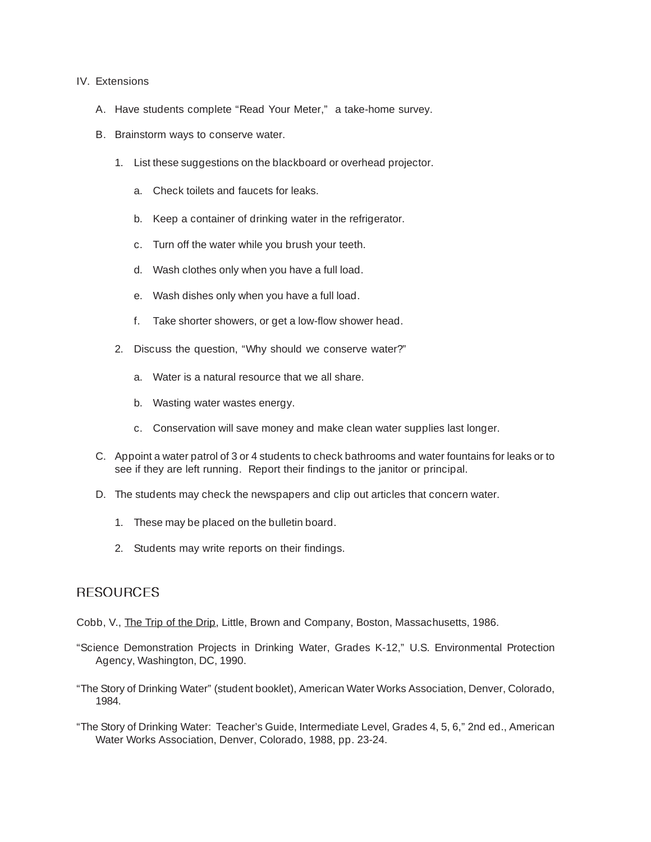#### IV. Extensions

- A. Have students complete "Read Your Meter," a take-home survey.
- B. Brainstorm ways to conserve water.
	- 1. List these suggestions on the blackboard or overhead projector.
		- a. Check toilets and faucets for leaks.
		- b. Keep a container of drinking water in the refrigerator.
		- c. Turn off the water while you brush your teeth.
		- d. Wash clothes only when you have a full load.
		- e. Wash dishes only when you have a full load.
		- f. Take shorter showers, or get a low-flow shower head.
	- 2. Discuss the question, "Why should we conserve water?"
		- a. Water is a natural resource that we all share.
		- b. Wasting water wastes energy.
		- c. Conservation will save money and make clean water supplies last longer.
- C. Appoint a water patrol of 3 or 4 students to check bathrooms and water fountains for leaks or to see if they are left running. Report their findings to the janitor or principal.
- D. The students may check the newspapers and clip out articles that concern water.
	- 1. These may be placed on the bulletin board.
	- 2. Students may write reports on their findings.

## **RESOURCES**

Cobb, V., The Trip of the Drip, Little, Brown and Company, Boston, Massachusetts, 1986.

- "Science Demonstration Projects in Drinking Water, Grades K-12," U.S. Environmental Protection Agency, Washington, DC, 1990.
- "The Story of Drinking Water" (student booklet), American Water Works Association, Denver, Colorado, 1984.
- "The Story of Drinking Water: Teacher's Guide, Intermediate Level, Grades 4, 5, 6," 2nd ed., American Water Works Association, Denver, Colorado, 1988, pp. 23-24.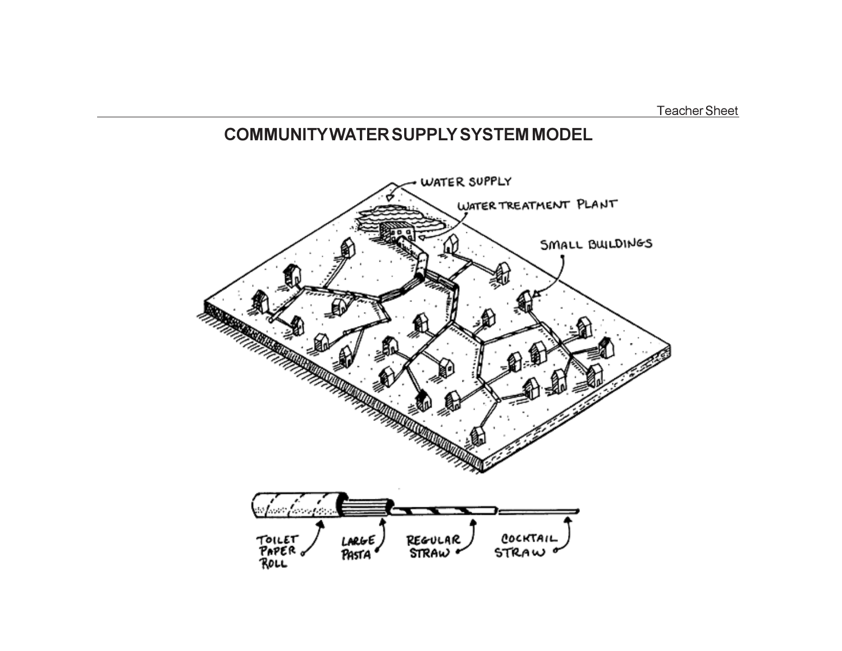Teacher Sheet

# **COMMUNITY WATER SUPPLY SYSTEM MODEL**

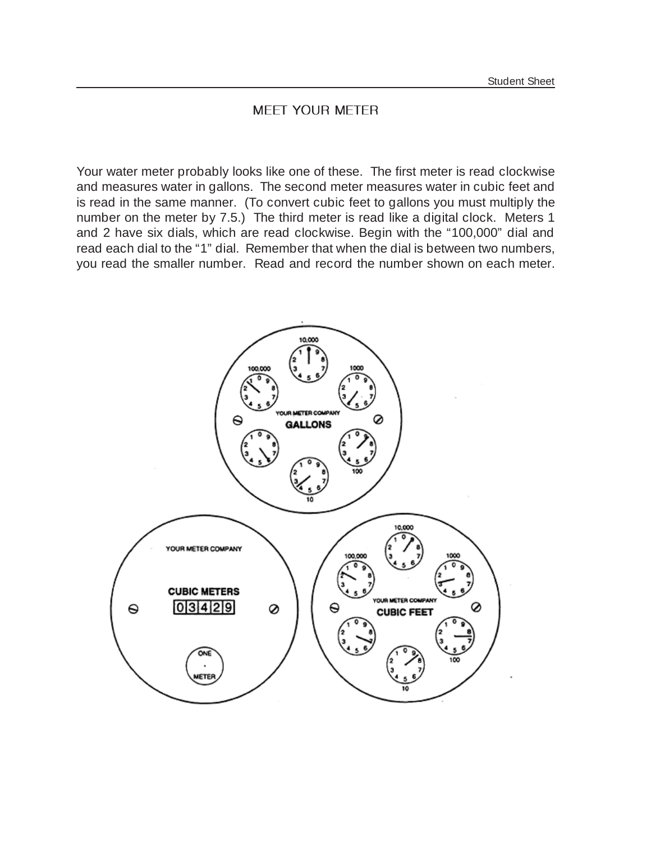## MEET YOUR METER

Your water meter probably looks like one of these. The first meter is read clockwise and measures water in gallons. The second meter measures water in cubic feet and is read in the same manner. (To convert cubic feet to gallons you must multiply the number on the meter by 7.5.) The third meter is read like a digital clock. Meters 1 and 2 have six dials, which are read clockwise. Begin with the "100,000" dial and read each dial to the "1" dial. Remember that when the dial is between two numbers, you read the smaller number. Read and record the number shown on each meter.

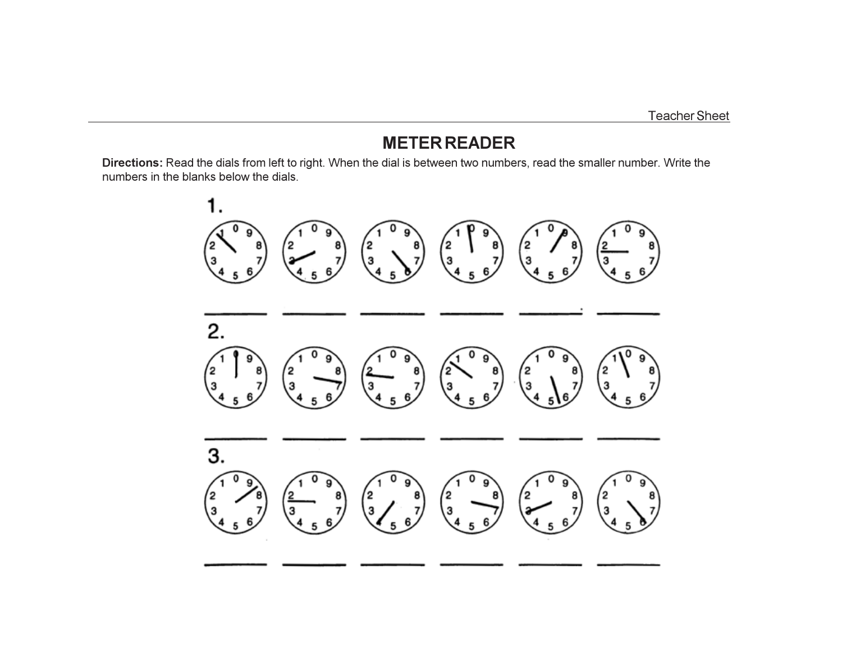Teacher Sheet

# **METER READER**

**Directions:** Read the dials from left to right. When the dial is between two numbers, read the smaller number. Write the numbers in the blanks below the dials.